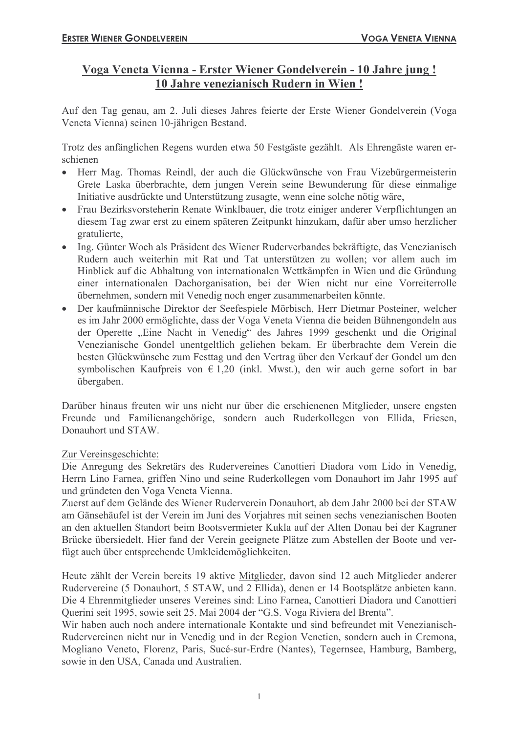## Voga Veneta Vienna - Erster Wiener Gondelverein - 10 Jahre jung! 10 Jahre venezianisch Rudern in Wien!

Auf den Tag genau, am 2. Juli dieses Jahres feierte der Erste Wiener Gondelverein (Voga Veneta Vienna) seinen 10-jährigen Bestand.

Trotz des anfänglichen Regens wurden etwa 50 Festgäste gezählt. Als Ehrengäste waren erschienen

- Herr Mag. Thomas Reindl, der auch die Glückwünsche von Frau Vizebürgermeisterin Grete Laska überbrachte, dem jungen Verein seine Bewunderung für diese einmalige Initiative ausdrückte und Unterstützung zusagte, wenn eine solche nötig wäre,
- Frau Bezirksvorsteherin Renate Winklbauer, die trotz einiger anderer Verpflichtungen an diesem Tag zwar erst zu einem späteren Zeitpunkt hinzukam, dafür aber umso herzlicher gratulierte.
- Ing. Günter Woch als Präsident des Wiener Ruderverbandes bekräftigte, das Venezianisch  $\bullet$ Rudern auch weiterhin mit Rat und Tat unterstützen zu wollen; vor allem auch im Hinblick auf die Abhaltung von internationalen Wettkämpfen in Wien und die Gründung einer internationalen Dachorganisation, bei der Wien nicht nur eine Vorreiterrolle übernehmen, sondern mit Venedig noch enger zusammenarbeiten könnte.
- Der kaufmännische Direktor der Seefespiele Mörbisch, Herr Dietmar Posteiner, welcher  $\bullet$ es im Jahr 2000 ermöglichte, dass der Voga Veneta Vienna die beiden Bühnengondeln aus der Operette "Eine Nacht in Venedig" des Jahres 1999 geschenkt und die Original Venezianische Gondel unentgeltlich geliehen bekam. Er überbrachte dem Verein die besten Glückwünsche zum Festtag und den Vertrag über den Verkauf der Gondel um den symbolischen Kaufpreis von  $\epsilon$  1,20 (inkl. Mwst.), den wir auch gerne sofort in bar übergaben.

Darüber hinaus freuten wir uns nicht nur über die erschienenen Mitglieder, unsere engsten Freunde und Familienangehörige, sondern auch Ruderkollegen von Ellida, Friesen, Donauhort und STAW.

Zur Vereinsgeschichte:

Die Anregung des Sekretärs des Rudervereines Canottieri Diadora vom Lido in Venedig, Herrn Lino Farnea, griffen Nino und seine Ruderkollegen vom Donauhort im Jahr 1995 auf und gründeten den Voga Veneta Vienna.

Zuerst auf dem Gelände des Wiener Ruderverein Donauhort, ab dem Jahr 2000 bei der STAW am Gänsehäufel ist der Verein im Juni des Vorjahres mit seinen sechs venezianischen Booten an den aktuellen Standort beim Bootsvermieter Kukla auf der Alten Donau bei der Kagraner Brücke übersiedelt. Hier fand der Verein geeignete Plätze zum Abstellen der Boote und verfügt auch über entsprechende Umkleidemöglichkeiten.

Heute zählt der Verein bereits 19 aktive Mitglieder, davon sind 12 auch Mitglieder anderer Rudervereine (5 Donauhort, 5 STAW, und 2 Ellida), denen er 14 Bootsplätze anbieten kann. Die 4 Ehrenmitglieder unseres Vereines sind: Lino Farnea, Canottieri Diadora und Canottieri Querini seit 1995, sowie seit 25. Mai 2004 der "G.S. Voga Riviera del Brenta".

Wir haben auch noch andere internationale Kontakte und sind befreundet mit Venezianisch-Rudervereinen nicht nur in Venedig und in der Region Venetien, sondern auch in Cremona, Mogliano Veneto, Florenz, Paris, Sucé-sur-Erdre (Nantes), Tegernsee, Hamburg, Bamberg, sowie in den USA, Canada und Australien.